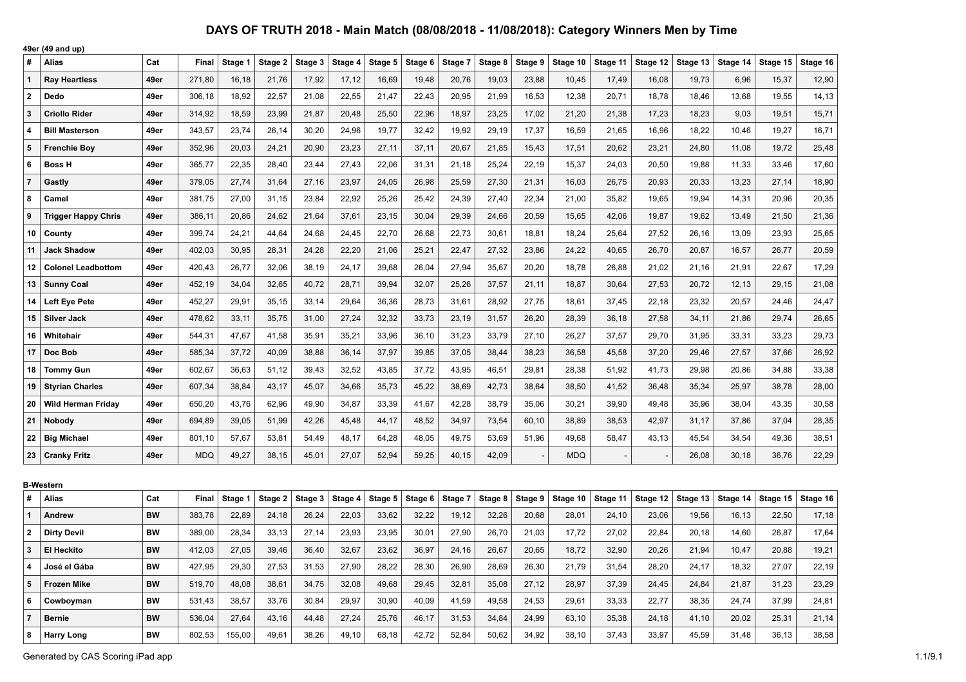|                | 49er (49 and up)           |           |            |         |         |         |         |         |         |         |         |         |            |          |          |          |          |          |          |
|----------------|----------------------------|-----------|------------|---------|---------|---------|---------|---------|---------|---------|---------|---------|------------|----------|----------|----------|----------|----------|----------|
| #              | <b>Alias</b>               | Cat       | Final      | Stage 1 | Stage 2 | Stage 3 | Stage 4 | Stage 5 | Stage 6 | Stage 7 | Stage 8 | Stage 9 | Stage 10   | Stage 11 | Stage 12 | Stage 13 | Stage 14 | Stage 15 | Stage 16 |
| $\mathbf{1}$   | <b>Ray Heartless</b>       | 49er      | 271,80     | 16,18   | 21,76   | 17,92   | 17,12   | 16,69   | 19,48   | 20,76   | 19,03   | 23,88   | 10,45      | 17,49    | 16,08    | 19,73    | 6,96     | 15,37    | 12,90    |
| $\mathbf{2}$   | Dedo                       | 49er      | 306,18     | 18,92   | 22,57   | 21,08   | 22,55   | 21,47   | 22,43   | 20,95   | 21,99   | 16,53   | 12,38      | 20,71    | 18,78    | 18,46    | 13,68    | 19,55    | 14,13    |
| 3              | <b>Criollo Rider</b>       | 49er      | 314,92     | 18,59   | 23,99   | 21,87   | 20,48   | 25,50   | 22,96   | 18,97   | 23,25   | 17,02   | 21,20      | 21,38    | 17,23    | 18,23    | 9,03     | 19,51    | 15,71    |
| $\overline{4}$ | <b>Bill Masterson</b>      | 49er      | 343,57     | 23,74   | 26,14   | 30,20   | 24,96   | 19,77   | 32,42   | 19,92   | 29,19   | 17,37   | 16.59      | 21.65    | 16,96    | 18,22    | 10.46    | 19.27    | 16,71    |
| $5\phantom{1}$ | <b>Frenchie Boy</b>        | 49er      | 352,96     | 20,03   | 24,21   | 20,90   | 23,23   | 27,11   | 37,11   | 20,67   | 21,85   | 15,43   | 17,51      | 20,62    | 23,21    | 24,80    | 11,08    | 19,72    | 25,48    |
| 6              | <b>Boss H</b>              | 49er      | 365,77     | 22,35   | 28,40   | 23,44   | 27,43   | 22,06   | 31,31   | 21,18   | 25,24   | 22,19   | 15,37      | 24,03    | 20,50    | 19,88    | 11,33    | 33,46    | 17,60    |
| $\overline{7}$ | Gastly                     | 49er      | 379,05     | 27,74   | 31,64   | 27,16   | 23,97   | 24,05   | 26,98   | 25,59   | 27,30   | 21,31   | 16,03      | 26,75    | 20,93    | 20,33    | 13,23    | 27,14    | 18,90    |
| 8              | Camel                      | 49er      | 381,75     | 27,00   | 31,15   | 23,84   | 22,92   | 25,26   | 25,42   | 24,39   | 27,40   | 22,34   | 21,00      | 35,82    | 19,65    | 19,94    | 14,31    | 20,96    | 20,35    |
| 9              | <b>Trigger Happy Chris</b> | 49er      | 386,11     | 20,86   | 24,62   | 21,64   | 37,61   | 23,15   | 30,04   | 29,39   | 24,66   | 20,59   | 15,65      | 42,06    | 19,87    | 19,62    | 13,49    | 21,50    | 21,36    |
| 10             | County                     | 49er      | 399,74     | 24,21   | 44,64   | 24,68   | 24,45   | 22,70   | 26,68   | 22,73   | 30,61   | 18,81   | 18,24      | 25,64    | 27,52    | 26,16    | 13,09    | 23,93    | 25,65    |
| 11             | <b>Jack Shadow</b>         | 49er      | 402,03     | 30,95   | 28,31   | 24,28   | 22,20   | 21,06   | 25,21   | 22,47   | 27,32   | 23,86   | 24,22      | 40,65    | 26,70    | 20,87    | 16,57    | 26,77    | 20,59    |
| 12             | <b>Colonel Leadbottom</b>  | 49er      | 420,43     | 26,77   | 32,06   | 38,19   | 24,17   | 39,68   | 26,04   | 27,94   | 35,67   | 20,20   | 18,78      | 26,88    | 21,02    | 21,16    | 21,91    | 22,67    | 17,29    |
| 13             | <b>Sunny Coal</b>          | 49er      | 452,19     | 34,04   | 32,65   | 40,72   | 28,71   | 39,94   | 32,07   | 25,26   | 37,57   | 21,11   | 18,87      | 30,64    | 27,53    | 20,72    | 12, 13   | 29,15    | 21,08    |
| 14             | Left Eye Pete              | 49er      | 452,27     | 29,91   | 35,15   | 33,14   | 29,64   | 36,36   | 28,73   | 31,61   | 28,92   | 27,75   | 18,61      | 37,45    | 22,18    | 23,32    | 20,57    | 24,46    | 24,47    |
| 15             | <b>Silver Jack</b>         | 49er      | 478,62     | 33,11   | 35,75   | 31,00   | 27,24   | 32,32   | 33,73   | 23,19   | 31,57   | 26,20   | 28,39      | 36,18    | 27,58    | 34, 11   | 21,86    | 29,74    | 26,65    |
| 16             | Whitehair                  | 49er      | 544,31     | 47,67   | 41,58   | 35,91   | 35,21   | 33,96   | 36,10   | 31,23   | 33,79   | 27,10   | 26,27      | 37,57    | 29,70    | 31,95    | 33,31    | 33,23    | 29,73    |
| 17             | Doc Bob                    | 49er      | 585,34     | 37,72   | 40,09   | 38,88   | 36,14   | 37,97   | 39,85   | 37,05   | 38,44   | 38,23   | 36,58      | 45,58    | 37,20    | 29,46    | 27,57    | 37,66    | 26,92    |
| 18             | <b>Tommy Gun</b>           | 49er      | 602,67     | 36,63   | 51,12   | 39,43   | 32,52   | 43,85   | 37,72   | 43,95   | 46,51   | 29,81   | 28,38      | 51,92    | 41,73    | 29,98    | 20,86    | 34,88    | 33,38    |
| 19             | <b>Styrian Charles</b>     | 49er      | 607,34     | 38,84   | 43,17   | 45,07   | 34,66   | 35,73   | 45,22   | 38,69   | 42,73   | 38,64   | 38,50      | 41,52    | 36,48    | 35,34    | 25,97    | 38,78    | 28,00    |
| 20             | <b>Wild Herman Friday</b>  | 49er      | 650,20     | 43,76   | 62,96   | 49,90   | 34,87   | 33,39   | 41,67   | 42,28   | 38,79   | 35,06   | 30,21      | 39,90    | 49,48    | 35,96    | 38,04    | 43,35    | 30,58    |
| 21             | Nobody                     | 49er      | 694,89     | 39,05   | 51,99   | 42,26   | 45,48   | 44,17   | 48,52   | 34,97   | 73,54   | 60,10   | 38,89      | 38,53    | 42,97    | 31,17    | 37,86    | 37,04    | 28,35    |
| 22             | <b>Big Michael</b>         | 49er      | 801,10     | 57,67   | 53,81   | 54,49   | 48,17   | 64,28   | 48,05   | 49,75   | 53,69   | 51,96   | 49,68      | 58,47    | 43,13    | 45,54    | 34,54    | 49,36    | 38,51    |
| 23             | <b>Cranky Fritz</b>        | 49er      | <b>MDQ</b> | 49,27   | 38,15   | 45,01   | 27,07   | 52,94   | 59,25   | 40,15   | 42,09   |         | <b>MDQ</b> |          |          | 26,08    | 30,18    | 36,76    | 22,29    |
|                |                            |           |            |         |         |         |         |         |         |         |         |         |            |          |          |          |          |          |          |
|                | <b>B-Western</b>           |           |            |         |         |         |         |         |         |         |         |         |            |          |          |          |          |          |          |
| #              | <b>Alias</b>               | Cat       | Final      | Stage 1 | Stage 2 | Stage 3 | Stage 4 | Stage 5 | Stage 6 | Stage 7 | Stage 8 | Stage 9 | Stage 10   | Stage 11 | Stage 12 | Stage 13 | Stage 14 | Stage 15 | Stage 16 |
| $\mathbf{1}$   | Andrew                     | <b>BW</b> | 383,78     | 22,89   | 24,18   | 26,24   | 22,03   | 33,62   | 32,22   | 19,12   | 32,26   | 20,68   | 28,01      | 24,10    | 23,06    | 19,56    | 16,13    | 22,50    | 17,18    |
| $\overline{2}$ | <b>Dirty Devil</b>         | <b>BW</b> | 389,00     | 28,34   | 33,13   | 27,14   | 23,93   | 23,95   | 30,01   | 27,90   | 26,70   | 21,03   | 17,72      | 27,02    | 22,84    | 20,18    | 14,60    | 26,87    | 17,64    |
| $\mathbf{3}$   | <b>El Heckito</b>          | BW        | 412,03     | 27,05   | 39,46   | 36,40   | 32,67   | 23,62   | 36,97   | 24,16   | 26,67   | 20,65   | 18,72      | 32,90    | 20,26    | 21,94    | 10,47    | 20,88    | 19,21    |
| 4              | José el Gába               | <b>BW</b> | 427,95     | 29,30   | 27,53   | 31,53   | 27,90   | 28,22   | 28,30   | 26,90   | 28,69   | 26,30   | 21,79      | 31,54    | 28,20    | 24,17    | 18,32    | 27,07    | 22,19    |
| 5              | <b>Frozen Mike</b>         | <b>BW</b> | 519,70     | 48,08   | 38,61   | 34,75   | 32,08   | 49,68   | 29,45   | 32,81   | 35,08   | 27,12   | 28,97      | 37,39    | 24,45    | 24,84    | 21,87    | 31,23    | 23,29    |

 **Cowboyman BW** 531,43 38,57 33,76 30,84 29,97 30,90 40,09 41,59 49,58 24,53 29,61 33,33 22,77 38,35 24,74 37,99 24,81 **Bernie BW** 536,04 27,64 43,16 44,48 27,24 25,76 46,17 31,53 34,84 24,99 63,10 35,38 24,18 41,10 20,02 25,31 21,14 **Harry Long BW** 802,53 155,00 49,61 38,26 49,10 68,18 42,72 52,84 50,62 34,92 38,10 37,43 33,97 45,59 31,48 36,13 38,58

Generated by CAS Scoring iPad app 1.1/9.1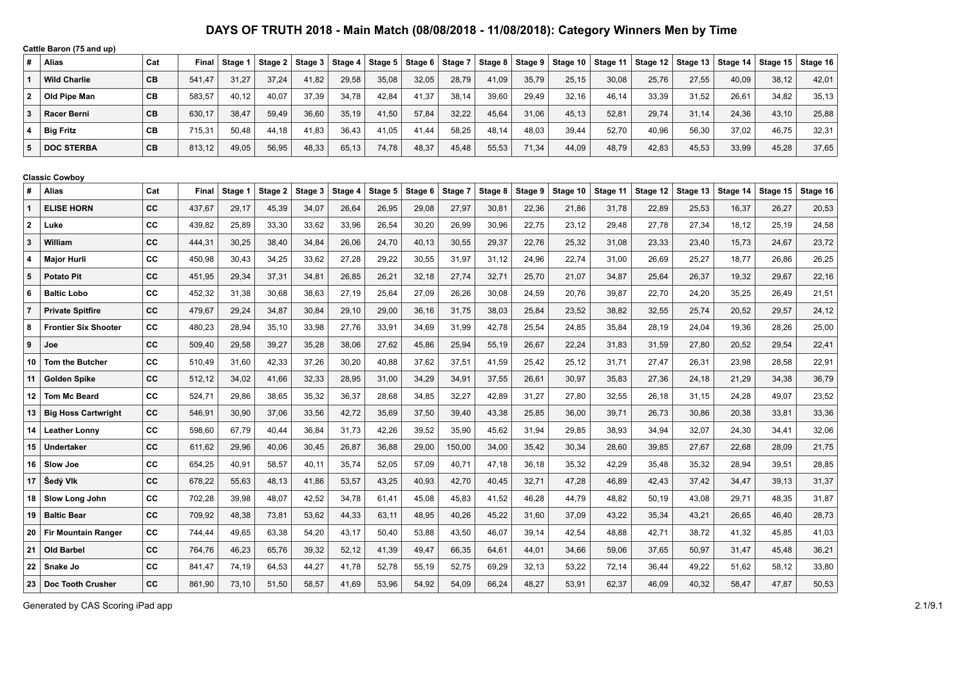| #                       | Gallie Daron (79 and up<br>Alias | Cat       | Final        | Stage 1 | Stage 2 | Stage 3 | Stage 4 | Stage 5 | Stage 6 | Stage 7 | Stage 8 | Stage 9 | Stage 10 | Stage 11 | Stage 12 | Stage 13 | Stage 14 | Stage 15 | Stage 16 |
|-------------------------|----------------------------------|-----------|--------------|---------|---------|---------|---------|---------|---------|---------|---------|---------|----------|----------|----------|----------|----------|----------|----------|
| $\mathbf{1}$            | <b>Wild Charlie</b>              | CB        | 541,47       | 31,27   | 37,24   | 41,82   | 29,58   | 35,08   | 32,05   | 28,79   | 41,09   | 35,79   | 25,15    | 30,08    | 25,76    | 27,55    | 40.09    | 38,12    | 42,01    |
| $\overline{2}$          | Old Pipe Man                     | CВ        | 583,57       | 40,12   | 40,07   | 37.39   | 34,78   | 42,84   | 41,37   | 38.14   | 39,60   | 29,49   | 32,16    | 46,14    | 33,39    | 31,52    | 26.61    | 34,82    | 35,13    |
| $\mathbf{3}$            | <b>Racer Berni</b>               | <b>CB</b> | 630,17       | 38,47   | 59,49   | 36,60   | 35,19   | 41,50   | 57,84   | 32,22   | 45,64   | 31,06   | 45,13    | 52,81    | 29,74    | 31,14    | 24,36    | 43,10    | 25,88    |
| 4                       | <b>Big Fritz</b>                 | CВ        | 715,31       | 50,48   | 44,18   | 41,83   | 36,43   | 41,05   | 41,44   | 58,25   | 48,14   | 48,03   | 39,44    | 52,70    | 40,96    | 56,30    | 37,02    | 46,75    | 32,31    |
| 5                       | <b>DOC STERBA</b>                | CB        | 813,12       | 49,05   | 56.95   | 48.33   | 65,13   | 74,78   | 48.37   | 45.48   | 55,53   | 71,34   | 44,09    | 48,79    | 42,83    | 45,53    | 33.99    | 45.28    | 37,65    |
|                         |                                  |           |              |         |         |         |         |         |         |         |         |         |          |          |          |          |          |          |          |
|                         | <b>Classic Cowboy</b>            |           |              |         |         |         |         |         |         |         |         |         |          |          |          |          |          |          |          |
| #                       | Alias                            | Cat       | <b>Final</b> | Stage 1 | Stage 2 | Stage 3 | Stage 4 | Stage 5 | Stage 6 | Stage 7 | Stage 8 | Stage 9 | Stage 10 | Stage 11 | Stage 12 | Stage 13 | Stage 14 | Stage 15 | Stage 16 |
| $\mathbf{1}$            | <b>ELISE HORN</b>                | <b>CC</b> | 437,67       | 29,17   | 45,39   | 34,07   | 26,64   | 26,95   | 29,08   | 27,97   | 30,81   | 22,36   | 21,86    | 31,78    | 22,89    | 25,53    | 16,37    | 26,27    | 20,53    |
| $\mathbf{2}$            | Luke                             | CC        | 439,82       | 25,89   | 33,30   | 33,62   | 33,96   | 26,54   | 30,20   | 26,99   | 30,96   | 22,75   | 23,12    | 29,48    | 27,78    | 27,34    | 18,12    | 25,19    | 24,58    |
| 3                       | William                          | <b>CC</b> | 444,31       | 30,25   | 38,40   | 34,84   | 26,06   | 24,70   | 40,13   | 30,55   | 29,37   | 22,76   | 25,32    | 31,08    | 23,33    | 23,40    | 15,73    | 24,67    | 23,72    |
| $\overline{\mathbf{4}}$ | <b>Major Hurli</b>               | CC        | 450.98       | 30,43   | 34,25   | 33.62   | 27,28   | 29.22   | 30.55   | 31,97   | 31,12   | 24,96   | 22.74    | 31.00    | 26,69    | 25,27    | 18.77    | 26.86    | 26,25    |
| 5                       | <b>Potato Pit</b>                | CC        | 451,95       | 29,34   | 37,31   | 34,81   | 26,85   | 26,21   | 32,18   | 27,74   | 32,71   | 25,70   | 21,07    | 34,87    | 25,64    | 26,37    | 19.32    | 29.67    | 22,16    |
| 6                       | <b>Baltic Lobo</b>               | СC        | 452,32       | 31,38   | 30,68   | 38,63   | 27,19   | 25,64   | 27,09   | 26,26   | 30,08   | 24,59   | 20,76    | 39,87    | 22,70    | 24,20    | 35,25    | 26,49    | 21,51    |
| $\overline{7}$          | <b>Private Spitfire</b>          | CC        | 479,67       | 29,24   | 34,87   | 30.84   | 29,10   | 29,00   | 36.16   | 31,75   | 38,03   | 25,84   | 23.52    | 38.82    | 32,55    | 25,74    | 20.52    | 29.57    | 24,12    |
| 8                       | <b>Frontier Six Shooter</b>      | CС        | 480,23       | 28,94   | 35,10   | 33,98   | 27,76   | 33,91   | 34,69   | 31,99   | 42,78   | 25,54   | 24,85    | 35,84    | 28,19    | 24,04    | 19,36    | 28,26    | 25,00    |
| 9                       | Joe                              | CC        | 509,40       | 29,58   | 39,27   | 35,28   | 38,06   | 27,62   | 45,86   | 25,94   | 55,19   | 26,67   | 22,24    | 31,83    | 31,59    | 27,80    | 20,52    | 29,54    | 22,41    |
| 10                      | <b>Tom the Butcher</b>           | CC        | 510,49       | 31,60   | 42,33   | 37,26   | 30,20   | 40,88   | 37,62   | 37,51   | 41,59   | 25,42   | 25,12    | 31,71    | 27,47    | 26,31    | 23,98    | 28,58    | 22,91    |
| 11                      | <b>Golden Spike</b>              | CC        | 512,12       | 34,02   | 41.66   | 32,33   | 28,95   | 31,00   | 34,29   | 34,91   | 37,55   | 26.61   | 30.97    | 35,83    | 27,36    | 24.18    | 21.29    | 34,38    | 36,79    |
| 12                      | <b>Tom Mc Beard</b>              | CC        | 524,71       | 29,86   | 38,65   | 35,32   | 36,37   | 28,68   | 34,85   | 32,27   | 42,89   | 31,27   | 27,80    | 32,55    | 26,18    | 31,15    | 24,28    | 49,07    | 23,52    |
| 13                      | <b>Big Hoss Cartwright</b>       | cc        | 546,91       | 30,90   | 37,06   | 33,56   | 42,72   | 35,69   | 37,50   | 39,40   | 43,38   | 25,85   | 36,00    | 39,71    | 26,73    | 30,86    | 20,38    | 33,81    | 33,36    |
| 14                      | <b>Leather Lonny</b>             | CC        | 598,60       | 67,79   | 40,44   | 36,84   | 31,73   | 42,26   | 39,52   | 35,90   | 45,62   | 31,94   | 29,85    | 38,93    | 34,94    | 32,07    | 24,30    | 34,41    | 32,06    |
| 15                      | <b>Undertaker</b>                | CC        | 611,62       | 29,96   | 40,06   | 30,45   | 26,87   | 36,88   | 29,00   | 150,00  | 34,00   | 35,42   | 30,34    | 28,60    | 39,85    | 27,67    | 22,68    | 28,09    | 21,75    |
| 16                      | Slow Joe                         | CC        | 654,25       | 40,91   | 58,57   | 40,11   | 35,74   | 52,05   | 57,09   | 40,71   | 47,18   | 36,18   | 35,32    | 42,29    | 35,48    | 35,32    | 28.94    | 39,51    | 28,85    |
| 17                      | Šedý Vlk                         | <b>CC</b> | 678,22       | 55,63   | 48,13   | 41,86   | 53,57   | 43,25   | 40,93   | 42,70   | 40,45   | 32,71   | 47,28    | 46,89    | 42,43    | 37,42    | 34,47    | 39,13    | 31,37    |
| 18                      | Slow Long John                   | CC        | 702,28       | 39,98   | 48,07   | 42,52   | 34,78   | 61,41   | 45,08   | 45,83   | 41,52   | 46,28   | 44,79    | 48,82    | 50,19    | 43,08    | 29,71    | 48,35    | 31,87    |
| 19                      | <b>Baltic Bear</b>               | CC        | 709,92       | 48,38   | 73,81   | 53,62   | 44,33   | 63,11   | 48,95   | 40,26   | 45,22   | 31,60   | 37,09    | 43,22    | 35,34    | 43,21    | 26,65    | 46,40    | 28,73    |
| 20                      | <b>Fir Mountain Ranger</b>       | CC        | 744,44       | 49,65   | 63,38   | 54,20   | 43,17   | 50,40   | 53,88   | 43,50   | 46,07   | 39,14   | 42,54    | 48,88    | 42,71    | 38,72    | 41,32    | 45,85    | 41,03    |
| 21                      | <b>Old Barbel</b>                | <b>CC</b> | 764,76       | 46,23   | 65,76   | 39,32   | 52,12   | 41,39   | 49,47   | 66,35   | 64,61   | 44,01   | 34,66    | 59,06    | 37,65    | 50,97    | 31,47    | 45,48    | 36,21    |
| 22                      | Snake Jo                         | CC        | 841,47       | 74,19   | 64,53   | 44,27   | 41,78   | 52,78   | 55,19   | 52,75   | 69,29   | 32,13   | 53,22    | 72,14    | 36,44    | 49,22    | 51,62    | 58,12    | 33,80    |
| 23                      | <b>Doc Tooth Crusher</b>         | CC        | 861,90       | 73,10   | 51,50   | 58,57   | 41,69   | 53,96   | 54,92   | 54,09   | 66,24   | 48,27   | 53,91    | 62,37    | 46,09    | 40,32    | 58,47    | 47,87    | 50,53    |

Generated by CAS Scoring iPad app 2.1/9.1

**Cattle Baron (75 and up)**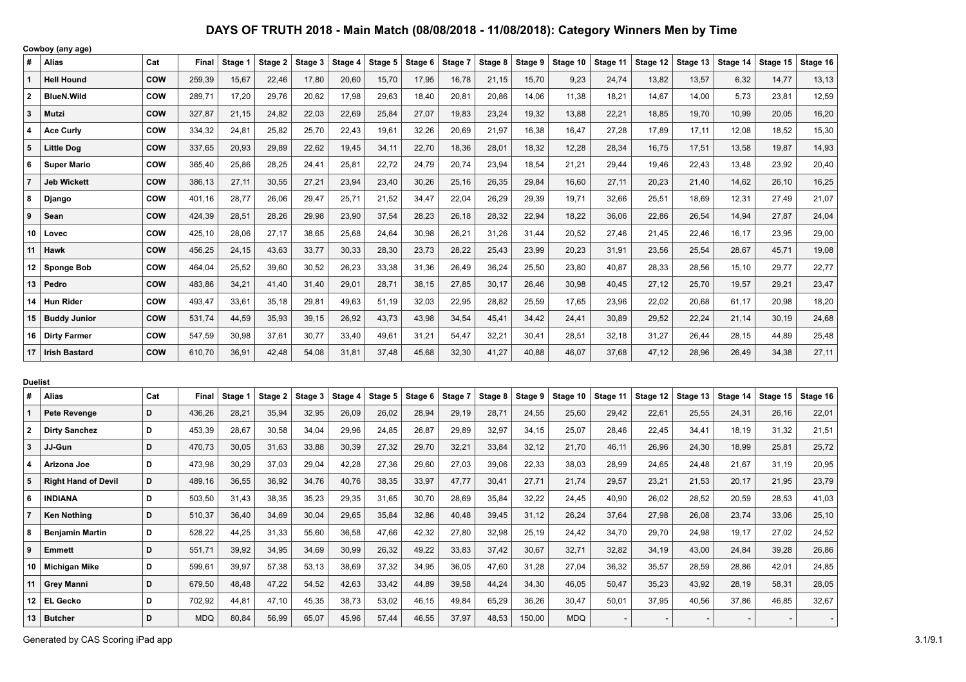|                | Cowboy (any age)           |            |        |         |         |         |         |         |         |         |         |         |          |          |          |          |          |          |          |
|----------------|----------------------------|------------|--------|---------|---------|---------|---------|---------|---------|---------|---------|---------|----------|----------|----------|----------|----------|----------|----------|
| #              | <b>Alias</b>               | Cat        | Final  | Stage 1 | Stage 2 | Stage 3 | Stage 4 | Stage 5 | Stage 6 | Stage 7 | Stage 8 | Stage 9 | Stage 10 | Stage 11 | Stage 12 | Stage 13 | Stage 14 | Stage 15 | Stage 16 |
| 1              | <b>Hell Hound</b>          | <b>COW</b> | 259,39 | 15,67   | 22,46   | 17,80   | 20,60   | 15,70   | 17,95   | 16,78   | 21,15   | 15,70   | 9,23     | 24,74    | 13,82    | 13,57    | 6,32     | 14,77    | 13,13    |
| $\mathbf{2}$   | <b>BlueN.Wild</b>          | <b>COW</b> | 289,71 | 17,20   | 29,76   | 20,62   | 17,98   | 29,63   | 18,40   | 20,81   | 20,86   | 14,06   | 11,38    | 18,21    | 14,67    | 14,00    | 5,73     | 23,81    | 12,59    |
| 3              | Mutzi                      | <b>COW</b> | 327,87 | 21,15   | 24,82   | 22,03   | 22,69   | 25,84   | 27,07   | 19,83   | 23,24   | 19,32   | 13,88    | 22,21    | 18,85    | 19,70    | 10,99    | 20,05    | 16,20    |
| 4              | <b>Ace Curly</b>           | COW        | 334,32 | 24,81   | 25,82   | 25,70   | 22,43   | 19,61   | 32,26   | 20,69   | 21,97   | 16,38   | 16,47    | 27,28    | 17,89    | 17,11    | 12,08    | 18,52    | 15,30    |
| 5              | <b>Little Dog</b>          | <b>COW</b> | 337,65 | 20,93   | 29,89   | 22,62   | 19,45   | 34,11   | 22,70   | 18,36   | 28,01   | 18,32   | 12,28    | 28,34    | 16,75    | 17,51    | 13,58    | 19,87    | 14,93    |
| 6              | <b>Super Mario</b>         | <b>COW</b> | 365,40 | 25,86   | 28,25   | 24,41   | 25,81   | 22,72   | 24,79   | 20,74   | 23,94   | 18,54   | 21,21    | 29,44    | 19,46    | 22,43    | 13,48    | 23,92    | 20,40    |
| $\overline{7}$ | <b>Jeb Wickett</b>         | <b>COW</b> | 386,13 | 27,11   | 30,55   | 27,21   | 23,94   | 23,40   | 30,26   | 25,16   | 26,35   | 29,84   | 16,60    | 27,11    | 20,23    | 21,40    | 14,62    | 26,10    | 16,25    |
| 8              | Django                     | <b>COW</b> | 401,16 | 28,77   | 26,06   | 29,47   | 25,71   | 21,52   | 34,47   | 22,04   | 26,29   | 29,39   | 19,71    | 32,66    | 25,51    | 18,69    | 12,31    | 27,49    | 21,07    |
| 9              | Sean                       | <b>COW</b> | 424,39 | 28,51   | 28,26   | 29,98   | 23,90   | 37,54   | 28,23   | 26,18   | 28,32   | 22,94   | 18,22    | 36,06    | 22,86    | 26,54    | 14,94    | 27,87    | 24,04    |
| 10             | Lovec                      | <b>COW</b> | 425,10 | 28,06   | 27,17   | 38,65   | 25,68   | 24,64   | 30,98   | 26,21   | 31,26   | 31,44   | 20,52    | 27,46    | 21,45    | 22,46    | 16,17    | 23,95    | 29,00    |
| 11             | Hawk                       | <b>COW</b> | 456,25 | 24,15   | 43,63   | 33,77   | 30,33   | 28,30   | 23,73   | 28,22   | 25,43   | 23,99   | 20,23    | 31,91    | 23,56    | 25,54    | 28,67    | 45,71    | 19,08    |
| 12             | <b>Sponge Bob</b>          | <b>COW</b> | 464,04 | 25,52   | 39,60   | 30,52   | 26,23   | 33,38   | 31,36   | 26,49   | 36,24   | 25,50   | 23,80    | 40,87    | 28,33    | 28,56    | 15,10    | 29,77    | 22,77    |
| 13             | Pedro                      | <b>COW</b> | 483,86 | 34,21   | 41,40   | 31,40   | 29,01   | 28,71   | 38,15   | 27,85   | 30,17   | 26,46   | 30,98    | 40,45    | 27,12    | 25,70    | 19,57    | 29,21    | 23,47    |
| 14             | <b>Hun Rider</b>           | COW        | 493,47 | 33,61   | 35,18   | 29,81   | 49,63   | 51,19   | 32,03   | 22,95   | 28,82   | 25,59   | 17,65    | 23,96    | 22,02    | 20,68    | 61,17    | 20,98    | 18,20    |
| 15             | <b>Buddy Junior</b>        | <b>COW</b> | 531,74 | 44,59   | 35,93   | 39,15   | 26,92   | 43,73   | 43,98   | 34,54   | 45,41   | 34,42   | 24,41    | 30,89    | 29,52    | 22,24    | 21,14    | 30,19    | 24,68    |
|                | 16 Dirty Farmer            | <b>COW</b> | 547,59 | 30,98   | 37,61   | 30,77   | 33,40   | 49,61   | 31,21   | 54,47   | 32,21   | 30,41   | 28,51    | 32,18    | 31,27    | 26,44    | 28,15    | 44,89    | 25,48    |
| 17             | <b>Irish Bastard</b>       | <b>COW</b> | 610,70 | 36,91   | 42,48   | 54,08   | 31,81   | 37,48   | 45,68   | 32,30   | 41,27   | 40,88   | 46,07    | 37,68    | 47,12    | 28,96    | 26,49    | 34,38    | 27,11    |
| <b>Duelist</b> |                            |            |        |         |         |         |         |         |         |         |         |         |          |          |          |          |          |          |          |
| #              | Alias                      | Cat        | Final  | Stage 1 | Stage 2 | Stage 3 | Stage 4 | Stage 5 | Stage 6 | Stage 7 | Stage 8 | Stage 9 | Stage 10 | Stage 11 | Stage 12 | Stage 13 | Stage 14 | Stage 15 | Stage 16 |
| 1              | <b>Pete Revenge</b>        | D          | 436,26 | 28,21   | 35,94   | 32,95   | 26,09   | 26,02   | 28,94   | 29,19   | 28,71   | 24,55   | 25,60    | 29,42    | 22,61    | 25,55    | 24,31    | 26,16    | 22,01    |
| $\mathbf{2}$   | <b>Dirty Sanchez</b>       | D          | 453,39 | 28,67   | 30,58   | 34,04   | 29,96   | 24,85   | 26,87   | 29,89   | 32,97   | 34,15   | 25,07    | 28,46    | 22,45    | 34,41    | 18,19    | 31,32    | 21,51    |
| 3              | JJ-Gun                     | D          | 470,73 | 30,05   | 31,63   | 33,88   | 30,39   | 27,32   | 29,70   | 32,21   | 33,84   | 32,12   | 21,70    | 46,11    | 26,96    | 24,30    | 18,99    | 25,81    | 25,72    |
| 4              | Arizona Joe                | D          | 473,98 | 30,29   | 37,03   | 29,04   | 42,28   | 27,36   | 29,60   | 27,03   | 39,06   | 22,33   | 38,03    | 28,99    | 24,65    | 24,48    | 21,67    | 31,19    | 20,95    |
| 5              | <b>Right Hand of Devil</b> | D          | 489,16 | 36,55   | 36,92   | 34,76   | 40,76   | 38,35   | 33,97   | 47,77   | 30,41   | 27,71   | 21,74    | 29,57    | 23,21    | 21,53    | 20,17    | 21,95    | 23,79    |
| 6              | <b>INDIANA</b>             | D          | 503,50 | 31,43   | 38,35   | 35,23   | 29,35   | 31,65   | 30,70   | 28,69   | 35,84   | 32,22   | 24,45    | 40,90    | 26,02    | 28,52    | 20,59    | 28,53    | 41,03    |
| 7              | <b>Ken Nothing</b>         | D          | 510,37 | 36,40   | 34,69   | 30,04   | 29,65   | 35,84   | 32,86   | 40,48   | 39,45   | 31,12   | 26,24    | 37,64    | 27,98    | 26,08    | 23,74    | 33,06    | 25,10    |
| 8              | <b>Benjamin Martin</b>     | D          | 528,22 | 44,25   | 31,33   | 55,60   | 36,58   | 47,66   | 42,32   | 27,80   | 32,98   | 25,19   | 24,42    | 34,70    | 29,70    | 24,98    | 19,17    | 27,02    | 24,52    |
| 9              | <b>Emmett</b>              | D          | 551,71 | 39,92   | 34,95   | 34,69   | 30,99   | 26,32   | 49,22   | 33,83   | 37,42   | 30,67   | 32,71    | 32,82    | 34,19    | 43,00    | 24,84    | 39,28    | 26,86    |
| 10             | Michigan Mike              | D          | 599,61 | 39,97   | 57,38   | 53,13   | 38,69   | 37,32   | 34,95   | 36,05   | 47,60   | 31,28   | 27,04    | 36,32    | 35,57    | 28,59    | 28,86    | 42,01    | 24,85    |
|                |                            |            |        |         |         |         |         |         |         |         |         |         |          |          |          |          |          |          |          |

 **Grey Manni D** 679,50 48,48 47,22 54,52 42,63 33,42 44,89 39,58 44,24 34,30 46,05 50,47 35,23 43,92 28,19 58,31 28,05 **EL Gecko D** 702,92 44,81 47,10 45,35 38,73 53,02 46,15 49,84 65,29 36,26 30,47 50,01 37,95 40,56 37,86 46,85 32,67 **Butcher D** MDQ 80,84 56,99 65,07 45,96 57,44 46,55 37,97 48,53 150,00 MDQ - - - - - -

Generated by CAS Scoring iPad app 3.1/9.1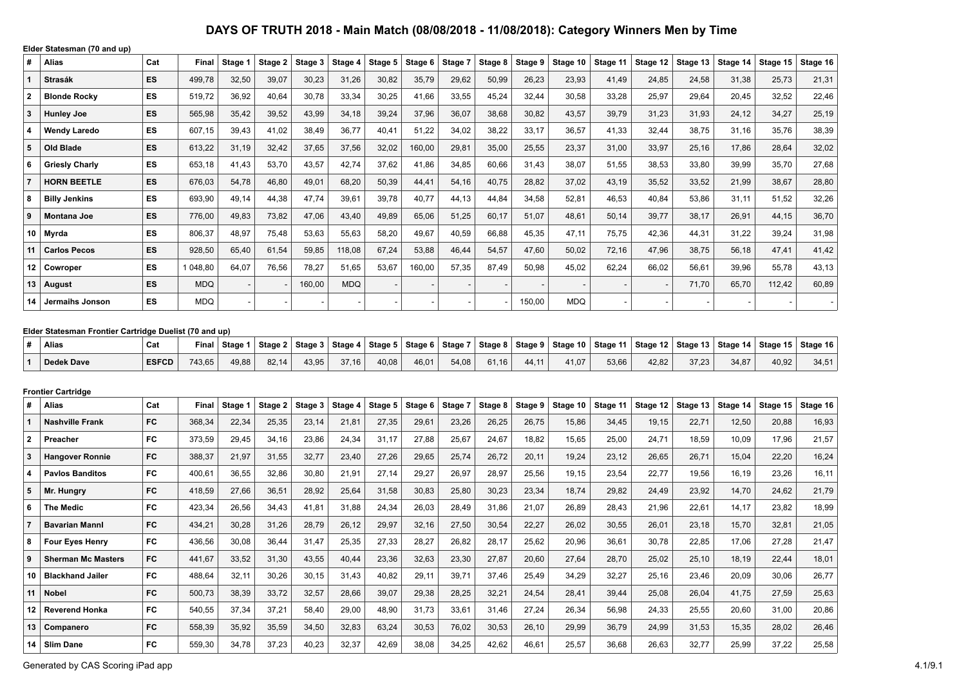|                | Elder Statesman (70 and up)                                     |              |            |         |         |         |            |         |         |         |         |         |            |          |          |          |          |          |          |
|----------------|-----------------------------------------------------------------|--------------|------------|---------|---------|---------|------------|---------|---------|---------|---------|---------|------------|----------|----------|----------|----------|----------|----------|
| #              | Alias                                                           | Cat          | Final      | Stage 1 | Stage 2 | Stage 3 | Stage 4    | Stage 5 | Stage 6 | Stage 7 | Stage 8 | Stage 9 | Stage 10   | Stage 11 | Stage 12 | Stage 13 | Stage 14 | Stage 15 | Stage 16 |
|                | <b>Strasák</b>                                                  | ES.          | 499,78     | 32,50   | 39,07   | 30,23   | 31,26      | 30,82   | 35,79   | 29,62   | 50,99   | 26,23   | 23,93      | 41,49    | 24,85    | 24,58    | 31,38    | 25,73    | 21,31    |
| $\mathbf{2}$   | <b>Blonde Rocky</b>                                             | ES           | 519,72     | 36,92   | 40,64   | 30,78   | 33,34      | 30,25   | 41,66   | 33,55   | 45,24   | 32,44   | 30,58      | 33,28    | 25,97    | 29,64    | 20,45    | 32,52    | 22,46    |
| 3              | <b>Hunley Joe</b>                                               | ES           | 565,98     | 35,42   | 39,52   | 43,99   | 34,18      | 39,24   | 37,96   | 36,07   | 38,68   | 30,82   | 43,57      | 39,79    | 31,23    | 31,93    | 24,12    | 34,27    | 25,19    |
| 4              | <b>Wendy Laredo</b>                                             | ES           | 607,15     | 39,43   | 41,02   | 38,49   | 36,77      | 40,41   | 51,22   | 34,02   | 38,22   | 33,17   | 36,57      | 41,33    | 32,44    | 38,75    | 31,16    | 35,76    | 38,39    |
| 5              | Old Blade                                                       | ES           | 613,22     | 31,19   | 32,42   | 37,65   | 37,56      | 32,02   | 160,00  | 29,81   | 35,00   | 25,55   | 23,37      | 31,00    | 33,97    | 25,16    | 17,86    | 28,64    | 32,02    |
| 6              | <b>Griesly Charly</b>                                           | ES           | 653,18     | 41,43   | 53,70   | 43,57   | 42,74      | 37,62   | 41,86   | 34,85   | 60,66   | 31,43   | 38,07      | 51,55    | 38,53    | 33,80    | 39,99    | 35,70    | 27,68    |
| $\overline{7}$ | <b>HORN BEETLE</b>                                              | ES           | 676,03     | 54,78   | 46,80   | 49,01   | 68,20      | 50,39   | 44,41   | 54,16   | 40,75   | 28,82   | 37,02      | 43,19    | 35,52    | 33,52    | 21,99    | 38,67    | 28,80    |
| 8              | <b>Billy Jenkins</b>                                            | ES           | 693,90     | 49,14   | 44,38   | 47,74   | 39,61      | 39,78   | 40,77   | 44,13   | 44,84   | 34,58   | 52,81      | 46,53    | 40,84    | 53,86    | 31,11    | 51,52    | 32,26    |
| 9              | Montana Joe                                                     | ES           | 776,00     | 49,83   | 73,82   | 47,06   | 43,40      | 49,89   | 65,06   | 51,25   | 60,17   | 51,07   | 48,61      | 50,14    | 39,77    | 38,17    | 26,91    | 44,15    | 36,70    |
| 10             | Myrda                                                           | ES           | 806,37     | 48,97   | 75,48   | 53,63   | 55,63      | 58,20   | 49,67   | 40,59   | 66,88   | 45,35   | 47,11      | 75,75    | 42,36    | 44,31    | 31,22    | 39,24    | 31,98    |
| 11             | <b>Carlos Pecos</b>                                             | ES           | 928,50     | 65,40   | 61,54   | 59,85   | 118,08     | 67,24   | 53,88   | 46,44   | 54,57   | 47,60   | 50,02      | 72,16    | 47,96    | 38,75    | 56,18    | 47,41    | 41,42    |
| 12             | Cowroper                                                        | ES           | 1 048,80   | 64,07   | 76,56   | 78,27   | 51,65      | 53,67   | 160,00  | 57,35   | 87,49   | 50,98   | 45,02      | 62,24    | 66,02    | 56,61    | 39,96    | 55,78    | 43,13    |
| 13             | <b>August</b>                                                   | ES           | <b>MDQ</b> |         |         | 160,00  | <b>MDQ</b> |         |         |         |         |         |            |          |          | 71,70    | 65,70    | 112,42   | 60,89    |
| 14             | Jermaihs Jonson                                                 | ES           | <b>MDQ</b> |         |         |         |            |         |         |         |         | 150,00  | <b>MDQ</b> |          |          |          |          |          |          |
|                |                                                                 |              |            |         |         |         |            |         |         |         |         |         |            |          |          |          |          |          |          |
| #              | Elder Statesman Frontier Cartridge Duelist (70 and up)<br>Alias | Cat          | Final      | Stage 1 | Stage 2 | Stage 3 | Stage 4    | Stage 5 | Stage 6 | Stage 7 | Stage 8 | Stage 9 | Stage 10   | Stage 11 | Stage 12 | Stage 13 | Stage 14 | Stage 15 | Stage 16 |
| $\mathbf{1}$   | Dedek Dave                                                      | <b>ESFCD</b> | 743,65     | 49,88   | 82,14   | 43,95   | 37,16      | 40,08   | 46,01   | 54,08   | 61,16   | 44,11   | 41,07      | 53,66    | 42,82    | 37,23    | 34,87    | 40,92    | 34,51    |
|                |                                                                 |              |            |         |         |         |            |         |         |         |         |         |            |          |          |          |          |          |          |
|                | <b>Frontier Cartridge</b>                                       |              |            |         |         |         |            |         |         |         |         |         |            |          |          |          |          |          |          |
| #              | Alias                                                           | Cat          | Final      | Stage 1 | Stage 2 | Stage 3 | Stage 4    | Stage 5 | Stage 6 | Stage 7 | Stage 8 | Stage 9 | Stage 10   | Stage 11 | Stage 12 | Stage 13 | Stage 14 | Stage 15 | Stage 16 |
| -1             | <b>Nashville Frank</b>                                          | FC           | 368,34     | 22,34   | 25,35   | 23,14   | 21,81      | 27,35   | 29,61   | 23,26   | 26,25   | 26,75   | 15,86      | 34,45    | 19,15    | 22,71    | 12,50    | 20,88    | 16,93    |
| $\mathbf{2}$   | Preacher                                                        | FC           | 373,59     | 29,45   | 34,16   | 23,86   | 24,34      | 31,17   | 27,88   | 25,67   | 24,67   | 18,82   | 15,65      | 25,00    | 24,71    | 18,59    | 10,09    | 17,96    | 21,57    |
| 3              | <b>Hangover Ronnie</b>                                          | FC           | 388,37     | 21,97   | 31,55   | 32,77   | 23,40      | 27,26   | 29,65   | 25,74   | 26,72   | 20,11   | 19,24      | 23,12    | 26,65    | 26,71    | 15,04    | 22,20    | 16,24    |
| 4              | <b>Pavlos Banditos</b>                                          | <b>FC</b>    | 400,61     | 36,55   | 32,86   | 30,80   | 21,91      | 27,14   | 29,27   | 26,97   | 28,97   | 25,56   | 19,15      | 23,54    | 22,77    | 19,56    | 16,19    | 23,26    | 16,11    |
| 5              | Mr. Hungry                                                      | FC           | 418,59     | 27,66   | 36,51   | 28,92   | 25,64      | 31,58   | 30,83   | 25,80   | 30,23   | 23,34   | 18,74      | 29,82    | 24,49    | 23,92    | 14,70    | 24,62    | 21,79    |
| 6              | <b>The Medic</b>                                                | FC           | 423,34     | 26,56   | 34,43   | 41,81   | 31,88      | 24,34   | 26,03   | 28,49   | 31,86   | 21,07   | 26,89      | 28,43    | 21,96    | 22,61    | 14,17    | 23,82    | 18,99    |
| $\overline{7}$ | <b>Bavarian Mannl</b>                                           | <b>FC</b>    | 434,21     | 30,28   | 31,26   | 28,79   | 26,12      | 29,97   | 32,16   | 27,50   | 30,54   | 22,27   | 26,02      | 30,55    | 26,01    | 23,18    | 15,70    | 32,81    | 21,05    |
| 8              | <b>Four Eyes Henry</b>                                          | FC           | 436,56     | 30,08   | 36,44   | 31,47   | 25,35      | 27,33   | 28,27   | 26,82   | 28,17   | 25,62   | 20,96      | 36,61    | 30,78    | 22,85    | 17,06    | 27,28    | 21,47    |
| 9              | <b>Sherman Mc Masters</b>                                       | FC           | 441,67     | 33,52   | 31,30   | 43,55   | 40,44      | 23,36   | 32,63   | 23,30   | 27,87   | 20,60   | 27,64      | 28,70    | 25,02    | 25,10    | 18,19    | 22,44    | 18,01    |
|                | 10   Blackhand Jailer                                           | FC           | 488,64     | 32,11   | 30,26   | 30, 15  | 31,43      | 40,82   | 29,11   | 39,71   | 37,46   | 25,49   | 34,29      | 32,27    | 25,16    | 23,46    | 20,09    | 30,06    | 26,77    |
|                |                                                                 |              |            |         |         |         |            |         |         |         |         |         |            |          |          |          |          |          |          |
|                | 11   Nobel                                                      | FC           | 500,73     | 38,39   | 33,72   | 32,57   | 28,66      | 39,07   | 29,38   | 28,25   | 32,21   | 24,54   | 28,41      | 39,44    | 25,08    | 26,04    | 41,75    | 27,59    | 25,63    |
|                | 12   Reverend Honka                                             | FC           | 540,55     | 37,34   | 37,21   | 58,40   | 29,00      | 48,90   | 31,73   | 33,61   | 31,46   | 27,24   | 26,34      | 56,98    | 24,33    | 25,55    | 20,60    | 31,00    | 20,86    |
|                | 13 Companero                                                    | FC           | 558,39     | 35,92   | 35,59   | 34,50   | 32,83      | 63,24   | 30,53   | 76,02   | 30,53   | 26,10   | 29,99      | 36,79    | 24,99    | 31,53    | 15,35    | 28,02    | 26,46    |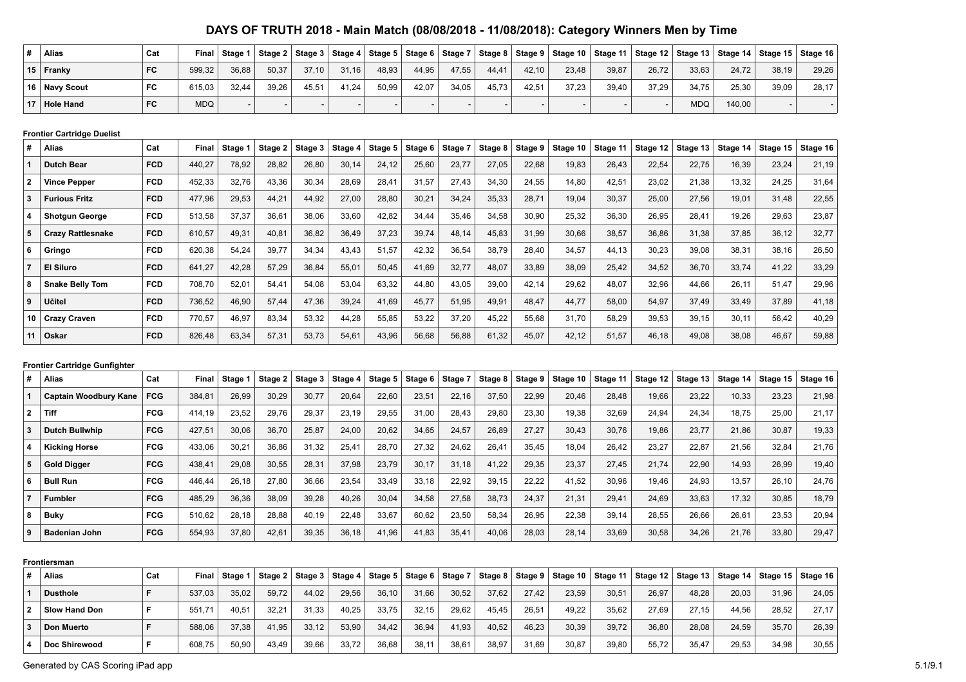| <b>Alias</b>     | Cat | Final      | Stage 1 | Stage 2 |       |       | Stage $3 \mid$ Stage $4 \mid$ Stage $5 \mid$ | Stage 6   Stage 7 |       |       |       | │Stage 8 │ Stage 9 │ Stage 10 │ Stage 11 │ Stage 12 │ Stage 13 │ Stage 14 │ Stage 15 │ Stage 16 |       |       |            |        |       |       |
|------------------|-----|------------|---------|---------|-------|-------|----------------------------------------------|-------------------|-------|-------|-------|-------------------------------------------------------------------------------------------------|-------|-------|------------|--------|-------|-------|
| $15$ Franky      | FC  | 599.32     | 36.88   | 50,37   | 37.10 | 31,16 | 48,93                                        | 44,95             | 47,55 | 44.41 | 42.10 | 23.48                                                                                           | 39,87 | 26,72 | 33,63      | 24.72  | 38.19 | 29.26 |
| 16 Navy Scout    | FC  | 615,03     | 32,44   | 39,26   | 45,51 | 41,24 | 50,99                                        | 42,07             | 34,05 | 45,73 | 42,51 | 37,23                                                                                           | 39,40 | 37,29 | 34,75      | 25,30  | 39,09 | 28,17 |
| <b>Hole Hand</b> | FC  | <b>MDQ</b> |         |         |       |       |                                              |                   |       |       |       |                                                                                                 |       |       | <b>MDQ</b> | 140.00 |       |       |

#### **Frontier Cartridge Duelist**

| # | <b>Alias</b>             | Cat        | <b>Final</b> | Stage 1 | Stage 2 | Stage 3 | Stage 4 | Stage 5 | Stage 6 | Stage 7 | Stage 8 | Stage 9 | Stage 10 | Stage 11 | Stage 12 | Stage 13 | Stage 14 | Stage 15 | Stage 16 |
|---|--------------------------|------------|--------------|---------|---------|---------|---------|---------|---------|---------|---------|---------|----------|----------|----------|----------|----------|----------|----------|
|   | <b>Dutch Bear</b>        | <b>FCD</b> | 440,27       | 78,92   | 28,82   | 26,80   | 30,14   | 24,12   | 25,60   | 23,77   | 27,05   | 22,68   | 19,83    | 26,43    | 22,54    | 22,75    | 16,39    | 23,24    | 21,19    |
|   | <b>Vince Pepper</b>      | <b>FCD</b> | 452,33       | 32,76   | 43,36   | 30,34   | 28,69   | 28,41   | 31,57   | 27,43   | 34,30   | 24,55   | 14,80    | 42,51    | 23,02    | 21,38    | 13,32    | 24,25    | 31,64    |
| 3 | <b>Furious Fritz</b>     | <b>FCD</b> | 477,96       | 29,53   | 44,21   | 44,92   | 27,00   | 28,80   | 30,21   | 34,24   | 35,33   | 28,71   | 19,04    | 30,37    | 25,00    | 27,56    | 19,01    | 31,48    | 22,55    |
|   | <b>Shotgun George</b>    | <b>FCD</b> | 513,58       | 37,37   | 36,61   | 38,06   | 33,60   | 42,82   | 34,44   | 35,46   | 34,58   | 30,90   | 25,32    | 36,30    | 26,95    | 28,41    | 19,26    | 29,63    | 23,87    |
| 5 | <b>Crazy Rattlesnake</b> | <b>FCD</b> | 610,57       | 49,31   | 40,81   | 36,82   | 36,49   | 37,23   | 39,74   | 48,14   | 45,83   | 31,99   | 30,66    | 38,57    | 36,86    | 31,38    | 37,85    | 36,12    | 32,77    |
| 6 | Gringo                   | <b>FCD</b> | 620,38       | 54,24   | 39,77   | 34,34   | 43,43   | 51,57   | 42.32   | 36,54   | 38,79   | 28.40   | 34,57    | 44,13    | 30,23    | 39,08    | 38,31    | 38,16    | 26,50    |
|   | <b>El Siluro</b>         | <b>FCD</b> | 641,27       | 42,28   | 57,29   | 36,84   | 55,01   | 50,45   | 41,69   | 32,77   | 48,07   | 33,89   | 38,09    | 25,42    | 34,52    | 36,70    | 33,74    | 41,22    | 33,29    |
| 8 | <b>Snake Belly Tom</b>   | <b>FCD</b> | 708,70       | 52,01   | 54,41   | 54,08   | 53,04   | 63,32   | 44,80   | 43,05   | 39,00   | 42,14   | 29,62    | 48,07    | 32,96    | 44,66    | 26,11    | 51,47    | 29,96    |
| 9 | Učitel                   | <b>FCD</b> | 736,52       | 46,90   | 57,44   | 47,36   | 39,24   | 41,69   | 45,77   | 51,95   | 49,91   | 48,47   | 44,77    | 58,00    | 54,97    | 37,49    | 33,49    | 37,89    | 41,18    |
|   | 10 Crazy Craven          | <b>FCD</b> | 770,57       | 46,97   | 83,34   | 53,32   | 44,28   | 55,85   | 53,22   | 37,20   | 45,22   | 55,68   | 31,70    | 58,29    | 39,53    | 39,15    | 30,11    | 56,42    | 40,29    |
|   | ∣ Oskar                  | <b>FCD</b> | 826,48       | 63,34   | 57,31   | 53,73   | 54,61   | 43,96   | 56,68   | 56,88   | 61,32   | 45,07   | 42,12    | 51,57    | 46,18    | 49,08    | 38,08    | 46,67    | 59,88    |

### **Frontier Cartridge Gunfighter**

| #              | <b>Alias</b>                 | Cat        | Final  | Stage 1 | Stage 2 | Stage 3 | Stage 4 | Stage 5 | Stage 6 | Stage 7 | Stage 8 | Stage 9 | Stage 10 | . Stage 11 | Stage 12 | Stage 13 | Stage 14 | Stage 15 | Stage 16 |
|----------------|------------------------------|------------|--------|---------|---------|---------|---------|---------|---------|---------|---------|---------|----------|------------|----------|----------|----------|----------|----------|
|                | <b>Captain Woodbury Kane</b> | <b>FCG</b> | 384.81 | 26.99   | 30,29   | 30,77   | 20,64   | 22,60   | 23,51   | 22,16   | 37,50   | 22.99   | 20,46    | 28,48      | 19,66    | 23.22    | 10,33    | 23,23    | 21,98    |
| $\overline{2}$ | Tiff                         | <b>FCG</b> | 414.19 | 23,52   | 29,76   | 29,37   | 23,19   | 29,55   | 31,00   | 28,43   | 29,80   | 23,30   | 19,38    | 32,69      | 24,94    | 24,34    | 18.75    | 25,00    | 21,17    |
|                | <b>Dutch Bullwhip</b>        | <b>FCG</b> | 427.51 | 30.06   | 36,70   | 25,87   | 24,00   | 20,62   | 34,65   | 24,57   | 26,89   | 27.27   | 30,43    | 30,76      | 19,86    | 23,77    | 21,86    | 30,87    | 19,33    |
|                | <b>Kicking Horse</b>         | <b>FCG</b> | 433,06 | 30,21   | 36,86   | 31,32   | 25,41   | 28,70   | 27,32   | 24,62   | 26,41   | 35,45   | 18,04    | 26,42      | 23,27    | 22,87    | 21,56    | 32,84    | 21,76    |
|                | <b>Gold Digger</b>           | <b>FCG</b> | 438,41 | 29,08   | 30,55   | 28,31   | 37,98   | 23,79   | 30,17   | 31,18   | 41,22   | 29,35   | 23,37    | 27,45      | 21,74    | 22,90    | 14,93    | 26,99    | 19,40    |
| 6              | <b>Bull Run</b>              | <b>FCG</b> | 446.44 | 26.18   | 27.80   | 36,66   | 23,54   | 33,49   | 33,18   | 22,92   | 39,15   | 22.22   | 41.52    | 30,96      | 19,46    | 24.93    | 13.57    | 26,10    | 24.76    |
|                | <b>Fumbler</b>               | <b>FCG</b> | 485.29 | 36,36   | 38,09   | 39,28   | 40,26   | 30,04   | 34,58   | 27,58   | 38,73   | 24.37   | 21,31    | 29,41      | 24,69    | 33,63    | 17,32    | 30,85    | 18,79    |
| 8              | <b>Buky</b>                  | <b>FCG</b> | 510.62 | 28.18   | 28,88   | 40,19   | 22.48   | 33,67   | 60,62   | 23,50   | 58,34   | 26.95   | 22,38    | 39,14      | 28,55    | 26,66    | 26,61    | 23,53    | 20,94    |
| $\Omega$       | <b>Badenian John</b>         | <b>FCG</b> | 554,93 | 37,80   | 42,61   | 39,35   | 36,18   | 41,96   | 41,83   | 35,4'   | 40,06   | 28,03   | 28,14    | 33,69      | 30,58    | 34,26    | 21,76    | 33,80    | 29,47    |

|              | Frontiersman    |     |        |         |         |                |                        |       |                |         |         |       |                    |          |       |       |       |                                                      |       |
|--------------|-----------------|-----|--------|---------|---------|----------------|------------------------|-------|----------------|---------|---------|-------|--------------------|----------|-------|-------|-------|------------------------------------------------------|-------|
| #            | <b>Alias</b>    | Cat | Final  | Stage 1 | Stage 2 | Stage $3 \mid$ | Stage $4 \mid$ Stage 5 |       | Stage 6 $ $    | Stage 7 | Stage 8 |       | Stage 9   Stage 10 | Stage 11 |       |       |       | Stage 12   Stage 13   Stage 14   Stage 15   Stage 16 |       |
|              | <b>Dusthole</b> |     | 537.03 | 35,02   | 59,72   | 44,02          | 29,56                  | 36.10 | 31.66          | 30,52   | 37,62   | 27.42 | 23,59              | 30,51    | 26.97 | 48,28 | 20,03 | 31.96                                                | 24,05 |
| $\mathbf{2}$ | Slow Hand Don   |     | 551.71 | 40,51   | 32,21   | 31,33          | 40,25                  | 33,75 | 32,15          | 29,62   | 45.45   | 26.5' | 49,22              | 35,62    | 27.69 | 27.15 | 44,56 | 28,52                                                | 27.17 |
| 3            | Don Muerto      |     | 588.06 | 37.38   | $-1.95$ | 33,12          | 53,90                  | 34.42 | 36.94          | 41,93   | 40,52   | 46.23 | 30,39              | 39,72    | 36.80 | 28.08 | 24.59 | 35.70                                                | 26,39 |
| А            | Doc Shirewood   |     | 608.75 | 50.90   | 43.49   | 39,66          | 33,72                  | 36,68 | $38.1^{\circ}$ | 38,61   | 38.97   | 31.69 | 30,87              | 39,80    | 55,72 | 35.47 | 29,53 | 34.98                                                | 30,55 |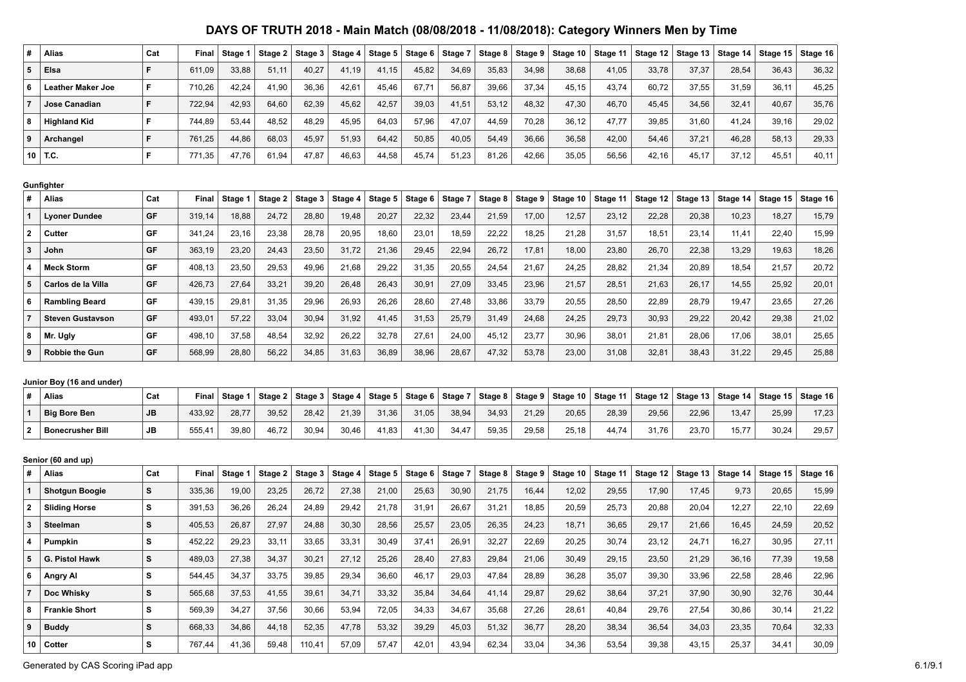| #                                       | Alias                          | Cat      | Final  | Stage 1 | Stage 2 | Stage 3 | Stage 4        | Stage 5 | Stage 6 | Stage 7 | Stage 8        | Stage 9 | Stage 10 | Stage 11 | Stage 12 | Stage 13       | Stage 14 | Stage 15       | Stage 16       |
|-----------------------------------------|--------------------------------|----------|--------|---------|---------|---------|----------------|---------|---------|---------|----------------|---------|----------|----------|----------|----------------|----------|----------------|----------------|
| 5                                       | Elsa                           | F        | 611,09 | 33,88   | 51,11   | 40,27   | 41,19          | 41,15   | 45,82   | 34,69   | 35,83          | 34,98   | 38,68    | 41,05    | 33,78    | 37,37          | 28,54    | 36,43          | 36,32          |
| 6                                       | <b>Leather Maker Joe</b>       | F        | 710,26 | 42,24   | 41,90   | 36,36   | 42,61          | 45,46   | 67,71   | 56,87   | 39,66          | 37,34   | 45,15    | 43,74    | 60,72    | 37,55          | 31,59    | 36,11          | 45,25          |
| $\overline{7}$                          | Jose Canadian                  | F        | 722,94 | 42,93   | 64,60   | 62,39   | 45,62          | 42,57   | 39,03   | 41,51   | 53,12          | 48,32   | 47,30    | 46,70    | 45,45    | 34,56          | 32,41    | 40,67          | 35,76          |
| 8                                       | <b>Highland Kid</b>            | F        | 744,89 | 53,44   | 48,52   | 48,29   | 45,95          | 64,03   | 57,96   | 47,07   | 44,59          | 70,28   | 36,12    | 47,77    | 39,85    | 31,60          | 41,24    | 39,16          | 29,02          |
| 9                                       | Archangel                      | F        | 761,25 | 44,86   | 68,03   | 45,97   | 51,93          | 64,42   | 50,85   | 40,05   | 54,49          | 36,66   | 36,58    | 42,00    | 54,46    | 37,21          | 46,28    | 58,13          | 29,33          |
| 10                                      | T.C.                           | F        | 771,35 | 47,76   | 61,94   | 47,87   | 46,63          | 44,58   | 45,74   | 51,23   | 81,26          | 42,66   | 35,05    | 56,56    | 42,16    | 45,17          | 37,12    | 45,51          | 40,11          |
|                                         |                                |          |        |         |         |         |                |         |         |         |                |         |          |          |          |                |          |                |                |
| #                                       | Gunfighter<br>Alias            | Cat      | Final  |         |         |         |                |         |         | Stage 7 |                |         |          |          |          |                | Stage 14 |                | Stage 16       |
| $\mathbf{1}$                            |                                | GF       |        | Stage 1 | Stage 2 | Stage 3 | Stage 4        | Stage 5 | Stage 6 |         | Stage 8        | Stage 9 | Stage 10 | Stage 11 | Stage 12 | Stage 13       |          | Stage 15       |                |
|                                         | <b>Lyoner Dundee</b><br>Cutter | GF       | 319,14 | 18,88   | 24,72   | 28,80   | 19,48          | 20,27   | 22,32   | 23,44   | 21,59          | 17,00   | 12,57    | 23,12    | 22,28    | 20,38          | 10,23    | 18,27<br>22,40 | 15,79          |
| $\mathbf{2}$<br>$\overline{\mathbf{3}}$ |                                | GF       | 341,24 | 23,16   | 23,38   | 28,78   | 20,95<br>31,72 | 18,60   | 23,01   | 18,59   | 22,22<br>26,72 | 18,25   | 21,28    | 31,57    | 18,51    | 23,14<br>22,38 | 11,41    | 19,63          | 15,99<br>18,26 |
|                                         | John<br><b>Meck Storm</b>      | GF       | 363,19 | 23,20   | 24,43   | 23,50   |                | 21,36   | 29,45   | 22,94   |                | 17,81   | 18,00    | 23,80    | 26,70    |                | 13,29    |                | 20,72          |
| 4<br>5                                  |                                |          | 408,13 | 23,50   | 29,53   | 49,96   | 21,68          | 29,22   | 31,35   | 20,55   | 24,54          | 21,67   | 24,25    | 28,82    | 21,34    | 20,89          | 18,54    | 21,57          |                |
|                                         | Carlos de la Villa             | GF<br>GF | 426,73 | 27,64   | 33,21   | 39,20   | 26,48          | 26,43   | 30,91   | 27,09   | 33,45          | 23,96   | 21,57    | 28,51    | 21,63    | 26,17          | 14,55    | 25,92          | 20,01          |
| 6                                       | <b>Rambling Beard</b>          |          | 439,15 | 29,81   | 31,35   | 29,96   | 26,93          | 26,26   | 28,60   | 27,48   | 33,86          | 33,79   | 20,55    | 28,50    | 22,89    | 28,79          | 19,47    | 23,65          | 27,26          |
| $\overline{7}$                          | <b>Steven Gustavson</b>        | GF       | 493,01 | 57,22   | 33,04   | 30,94   | 31,92          | 41,45   | 31,53   | 25,79   | 31,49          | 24,68   | 24,25    | 29,73    | 30,93    | 29,22          | 20,42    | 29,38          | 21,02          |
| 8                                       | Mr. Ugly                       | GF       | 498,10 | 37,58   | 48,54   | 32,92   | 26,22          | 32,78   | 27,61   | 24,00   | 45,12          | 23,77   | 30,96    | 38,01    | 21,81    | 28,06          | 17,06    | 38,01          | 25,65          |
| 9                                       | <b>Robbie the Gun</b>          | GF       | 568,99 | 28,80   | 56,22   | 34,85   | 31,63          | 36,89   | 38,96   | 28,67   | 47,32          | 53,78   | 23,00    | 31,08    | 32,81    | 38,43          | 31,22    | 29,45          | 25,88          |
|                                         | Junior Boy (16 and under)      |          |        |         |         |         |                |         |         |         |                |         |          |          |          |                |          |                |                |
| #                                       | Alias                          | Cat      | Final  | Stage 1 | Stage 2 | Stage 3 | Stage 4        | Stage 5 | Stage 6 | Stage 7 | Stage 8        | Stage 9 | Stage 10 | Stage 11 | Stage 12 | Stage 13       | Stage 14 | Stage 15       | Stage 16       |
| $\mathbf{1}$                            | <b>Big Bore Ben</b>            | JВ       | 433,92 | 28,77   | 39,52   | 28,42   | 21,39          | 31,36   | 31,05   | 38,94   | 34,93          | 21,29   | 20,65    | 28,39    | 29,56    | 22,96          | 13,47    | 25,99          | 17,23          |
| $\mathbf{2}$                            | <b>Bonecrusher Bill</b>        | JВ       | 555,41 | 39,80   | 46,72   | 30,94   | 30,46          | 41,83   | 41,30   | 34,47   | 59,35          | 29,58   | 25,18    | 44,74    | 31,76    | 23,70          | 15,77    | 30,24          | 29,57          |
|                                         |                                |          |        |         |         |         |                |         |         |         |                |         |          |          |          |                |          |                |                |
|                                         | Senior (60 and up)             |          |        |         |         |         |                |         |         |         |                |         |          |          |          |                |          |                |                |
| #                                       | Alias                          | Cat      | Final  | Stage 1 | Stage 2 | Stage 3 | Stage 4        | Stage 5 | Stage 6 | Stage 7 | Stage 8        | Stage 9 | Stage 10 | Stage 11 | Stage 12 | Stage 13       | Stage 14 | Stage 15       | Stage 16       |
| 1                                       | <b>Shotgun Boogie</b>          | s        | 335,36 | 19,00   | 23,25   | 26,72   | 27,38          | 21,00   | 25,63   | 30,90   | 21,75          | 16,44   | 12,02    | 29,55    | 17,90    | 17,45          | 9,73     | 20,65          | 15,99          |
| $\mathbf{2}$                            | <b>Sliding Horse</b>           | s        | 391,53 | 36,26   | 26,24   | 24,89   | 29,42          | 21,78   | 31,91   | 26,67   | 31,21          | 18,85   | 20,59    | 25,73    | 20,88    | 20,04          | 12,27    | 22,10          | 22,69          |
| 3                                       | <b>Steelman</b>                | S        | 405,53 | 26,87   | 27,97   | 24,88   | 30,30          | 28,56   | 25,57   | 23,05   | 26,35          | 24,23   | 18,71    | 36,65    | 29,17    | 21,66          | 16,45    | 24,59          | 20,52          |
| 4                                       | Pumpkin                        | s        | 452,22 | 29,23   | 33,11   | 33,65   | 33,31          | 30,49   | 37,41   | 26,91   | 32,27          | 22,69   | 20,25    | 30,74    | 23,12    | 24,71          | 16,27    | 30,95          | 27,11          |
| 5                                       | G. Pistol Hawk                 | s        | 489,03 | 27,38   | 34,37   | 30,21   | 27,12          | 25,26   | 28,40   | 27,83   | 29,84          | 21,06   | 30,49    | 29,15    | 23,50    | 21,29          | 36, 16   | 77,39          | 19,58          |
| 6                                       | Angry Al                       | s        | 544,45 | 34,37   | 33,75   | 39,85   | 29,34          | 36,60   | 46,17   | 29,03   | 47,84          | 28,89   | 36,28    | 35,07    | 39,30    | 33,96          | 22,58    | 28,46          | 22,96          |
| $\overline{7}$                          | Doc Whisky                     | S        | 565,68 | 37,53   | 41,55   | 39,61   | 34,71          | 33,32   | 35,84   | 34,64   | 41,14          | 29,87   | 29,62    | 38,64    | 37,21    | 37,90          | 30,90    | 32,76          | 30,44          |
| 8                                       | <b>Frankie Short</b>           | s        | 569,39 | 34,27   | 37,56   | 30,66   | 53,94          | 72,05   | 34,33   | 34,67   | 35,68          | 27,26   | 28,61    | 40,84    | 29,76    | 27,54          | 30,86    | 30,14          | 21,22          |
| 9                                       | <b>Buddy</b>                   | S        | 668,33 | 34,86   | 44,18   | 52,35   | 47,78          | 53,32   | 39,29   | 45,03   | 51,32          | 36,77   | 28,20    | 38,34    | 36,54    | 34,03          | 23,35    | 70,64          | 32,33          |
| 10                                      | Cotter                         | s        | 767,44 | 41,36   | 59,48   | 110,41  | 57,09          | 57,47   | 42,01   | 43,94   | 62,34          | 33,04   | 34,36    | 53,54    | 39,38    | 43,15          | 25,37    | 34,41          | 30,09          |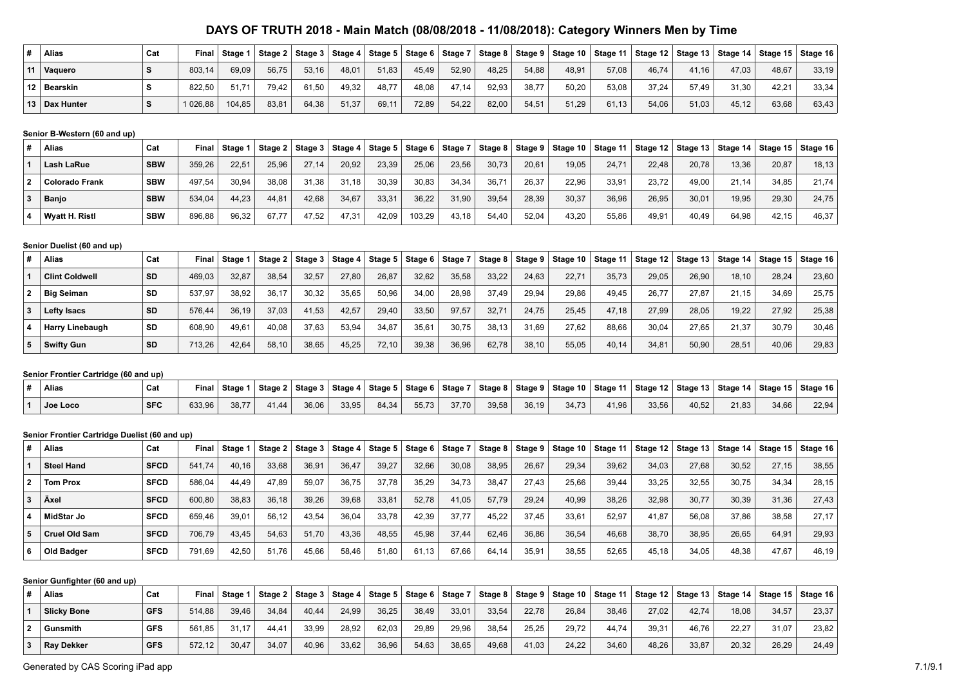| <b>Alias</b>    | Cat |          | Final   Stage 1   Stage 2   Stage 3   Stage 4   Stage 5   Stage 6   Stage 7 |       |       |       |       |       |       |       |       |       |       |       |       | Stage 8   Stage 9   Stage 10   Stage 11   Stage 12   Stage 13   Stage 14   Stage 15   Stage 16 |       |       |
|-----------------|-----|----------|-----------------------------------------------------------------------------|-------|-------|-------|-------|-------|-------|-------|-------|-------|-------|-------|-------|------------------------------------------------------------------------------------------------|-------|-------|
| 11 Vaguero      |     | 803.14   | 69.09                                                                       | 56.75 | 53.16 | 48.01 | 51,83 | 45,49 | 52,90 | 48.25 | 54.88 | 48.91 | 57,08 | 46.74 | 41,16 | 47.03                                                                                          | 48.67 | 33,19 |
| 12 Bearskin     |     | 822.50   | 51.71                                                                       | 79,42 | 61,50 | 49,32 | 48.77 | 48,08 | 47,14 | 92,93 | 38,77 | 50,20 | 53,08 | 37,24 | 57.49 | 31,30                                                                                          | 42.21 | 33,34 |
| 13   Dax Hunter |     | 1 026,88 | 104,85                                                                      | 83,81 | 64,38 | 51,37 | 69,11 | 72,89 | 54,22 | 82,00 | 54,51 | 51,29 | 61,13 | 54,06 | 51,03 | 45,12                                                                                          | 63,68 | 63.43 |

#### **Senior B-Western (60 and up)**

|  | Alias                 | Cat        | Final  | Stage 1 |       | $\vert$ Stage 2   Stage 3   Stage 4 $\vert$ |       |       |        | Stage 5   Stage 6   Stage 7 |                | $\vert$ Stage 8 $\vert$ Stage 9 $\vert$ | Stage 10   Stage 11 |       | Stage 12   Stage 13   Stage 14   Stage 15   Stage 16 |       |       |       |       |
|--|-----------------------|------------|--------|---------|-------|---------------------------------------------|-------|-------|--------|-----------------------------|----------------|-----------------------------------------|---------------------|-------|------------------------------------------------------|-------|-------|-------|-------|
|  | Lash LaRue            | <b>SBW</b> | 359,26 | 22.51   | 25.96 | 27.14                                       | 20,92 | 23.39 | 25.06  | 23,56                       | 30,73          | 20.61                                   | 19.05               | 24,71 | 22,48                                                | 20,78 | 13,36 | 20.87 | 18,13 |
|  | <b>Colorado Frank</b> | <b>SBW</b> | 497.54 | 30.94   | 38.08 | 31.38                                       | 31.18 | 30.39 | 30.83  | 34,34                       | $36.7^{\circ}$ | 26.37                                   | 22.96               | 33,91 | 23.72                                                | 49.00 | 21.14 | 34.85 | 21.74 |
|  | <b>Banjo</b>          | <b>SBW</b> | 534,04 | 44.23   | 44.81 | 42.68                                       | 34,67 | 33.31 | 36,22  | 31,90                       | 39,54          | 28.39                                   | 30,37               | 36,96 | 26,95                                                | 30.01 | 19.95 | 29,30 | 24.75 |
|  | <b>Wyatt H. Ristl</b> | <b>SBW</b> | 896,88 | 96,32   | 67.77 | 47.52                                       | 47,31 | 42.09 | 103,29 | 43,18                       | 54.40          | 52.04                                   | 43.20               | 55,86 | 49,91                                                | 40.49 | 64,98 | 42.15 | 46.37 |

### **Senior Duelist (60 and up)**

| Alias                  | Cat       | Final  | Stage 1 |       | Stage 2   Stage 3 | Stage 4 | Stage 5   Stage 6   Stage 7 |       |       |       | Stage 8   Stage 9 | Stage 10 $ $ | Stage 11 $\vert$ |       |       |       | Stage 12   Stage 13   Stage 14   Stage 15   Stage 16 |       |
|------------------------|-----------|--------|---------|-------|-------------------|---------|-----------------------------|-------|-------|-------|-------------------|--------------|------------------|-------|-------|-------|------------------------------------------------------|-------|
| <b>Clint Coldwell</b>  | <b>SD</b> | 469.03 | 32.87   | 38.54 | 32.57             | 27,80   | 26.87                       | 32.62 | 35,58 | 33.22 | 24.63             | 22.71        | 35,73            | 29,05 | 26.90 | 18.10 | 28.24                                                | 23,60 |
| <b>Big Seiman</b>      | <b>SD</b> | 537.97 | 38.92   | 36.17 | 30.32             | 35.65   | 50.96                       | 34.00 | 28.98 | 37.49 | 29.94             | 29.86        | 49.45            | 26.77 | 27.87 | 21.15 | 34.69                                                | 25.75 |
| <b>Lefty Isacs</b>     | <b>SD</b> | 576.44 | 36.19   | 37.03 | 41.53             | 42.57   | 29.40                       | 33.50 | 97.57 | 32.71 | 24.75             | 25.45        | 47.18            | 27.99 | 28.05 | 19.22 | 27.92                                                | 25.38 |
| <b>Harry Linebaugh</b> | SD        | 608,90 | 49.61   | 40.08 | 37.63             | 53,94   | 34.87                       | 35,61 | 30,75 | 38.13 | 31.69             | 27.62        | 88,66            | 30,04 | 27.65 | 21.37 | 30,79                                                | 30.46 |
| Swifty Gun             | <b>SD</b> | 713.26 | 42.64   | 58.10 | 38.65             | 45.25   | 72.10                       | 39.38 | 36.96 | 62.78 | 38.10             | 55.05        | 40.14            | 34.81 | 50.90 | 28.51 | 40,06                                                | 29.83 |

### **Senior Frontier Cartridge (60 and up)**

| Alias    | Cat        | Final  | Stage 1 |       |       |       |       |       |       |       |       |       |       |       | Stage 2   Stage 3   Stage 4   Stage 5   Stage 6   Stage 7   Stage 8   Stage 9   Stage 10   Stage 11   Stage 12   Stage 13   Stage 14   Stage 15   Stage 16   Stage 16 |       |       |       |
|----------|------------|--------|---------|-------|-------|-------|-------|-------|-------|-------|-------|-------|-------|-------|-----------------------------------------------------------------------------------------------------------------------------------------------------------------------|-------|-------|-------|
| Joe Loco | <b>SFC</b> | 633,96 | 38,77   | 41.44 | 36,06 | 33,95 | 84,34 | 55,73 | 37.70 | 39,58 | 36,19 | 34.73 | 41.96 | 33,56 | 40,52                                                                                                                                                                 | 21,83 | 34,66 | 22.94 |

#### **Senior Frontier Cartridge Duelist (60 and up)**

| #              | <b>Alias</b>      | Cat         | Final  | Stage 1 | Stage 2 | Stage 3 | Stage 4 | Stage $5 \mid$ | Stage 6 | $\parallel$ Stage 7 | Stage 8 | Stage 9 | Stage 10 $ $ | Stage 11 | Stage 12 | Stage 13 | Stage 14 $ $ | Stage 15 | Stage 16 |
|----------------|-------------------|-------------|--------|---------|---------|---------|---------|----------------|---------|---------------------|---------|---------|--------------|----------|----------|----------|--------------|----------|----------|
|                | <b>Steel Hand</b> | <b>SFCD</b> | 541.74 | 40.16   | 33.68   | 36.91   | 36.47   | 39.27          | 32.66   | 30,08               | 38.95   | 26.67   | 29.34        | 39.62    | 34.03    | 27.68    | 30.52        | 27.15    | 38.55    |
| $\overline{2}$ | <b>Tom Prox</b>   | <b>SFCD</b> | 586.04 | 44,49   | 47.89   | 59,07   | 36.75   | 37.78          | 35,29   | 34,73               | 38,47   | 27.43   | 25.66        | 39,44    | 33,25    | 32.55    | 30.75        | 34,34    | 28,15    |
|                | Äxel              | <b>SFCD</b> | 600.80 | 38.83   | 36.18   | 39,26   | 39,68   | 33,81          | 52,78   | 41,05               | 57.79   | 29.24   | 40.99        | 38,26    | 32,98    | 30.77    | 30.39        | 31,36    | 27,43    |
|                | MidStar Jo        | <b>SFCD</b> | 659.46 | 39.01   | 56.12   | 43.54   | 36.04   | 33.78          | 42.39   | 37.77               | 45.22   | 37.45   | 33.61        | 52.97    | 41.87    | 56.08    | 37.86        | 38.58    | 27.17    |
| 5.             | Cruel Old Sam     | <b>SFCD</b> | 706.79 | 43.45   | 54,63   | 51.70   | 43,36   | 48.55          | 45.98   | 37.44               | 62.46   | 36.86   | 36.54        | 46.68    | 38,70    | 38.95    | 26.65        | 64.91    | 29,93    |
| 6              | Old Badger        | <b>SFCD</b> | 791.69 | 42,50   | 51.76   | 45,66   | 58,46   | 51,80          | 61.13   | 67,66               | 64.14   | 35,91   | 38,55        | 52,65    | 45,18    | 34,05    | 48,38        | 47,67    | 46.19    |

#### **Senior Gunfighter (60 and up)**

| Alias              | Cat        | Final  | Stage 1 |       | 「Stage 2 Stage 3 Stage 4 Stage 5 Stage 6 Stage 7 |       |       |       |       | $\vert$ Stage 8 $\vert$ Stage 9 $\vert$ |       | $ $ Stage 10 $ $ Stage 11 $ $ |       |       |       |       |       | Stage 12   Stage 13   Stage 14   Stage 15   Stage 16 |
|--------------------|------------|--------|---------|-------|--------------------------------------------------|-------|-------|-------|-------|-----------------------------------------|-------|-------------------------------|-------|-------|-------|-------|-------|------------------------------------------------------|
| <b>Slicky Bone</b> | <b>GFS</b> | 514.88 | 39.46   | 34.84 | 40.44                                            | 24.99 | 36.25 | 38.49 | 33,01 | 33.54                                   | 22.78 | 26.84                         | 38.46 | 27.02 | 42.74 | 18.08 | 34.57 | 23.37                                                |
| <b>Gunsmith</b>    | <b>GFS</b> | 561.85 | 31.17   | 44.41 | 33,99                                            | 28,92 | 62.03 | 29.89 | 29,96 | 38,54                                   | 25.25 | 29.72                         | 44.74 | 39,31 | 46.76 | 22.27 | 31,07 | 23,82                                                |
| Ray Dekker         | <b>GFS</b> | 572,12 | 30.47   | 34,07 | 40,96                                            | 33,62 | 36,96 | 54,63 | 38,65 | 49,68                                   | 41.03 | 24,22                         | 34.60 | 48,26 | 33,87 | 20,32 | 26,29 | 24,49                                                |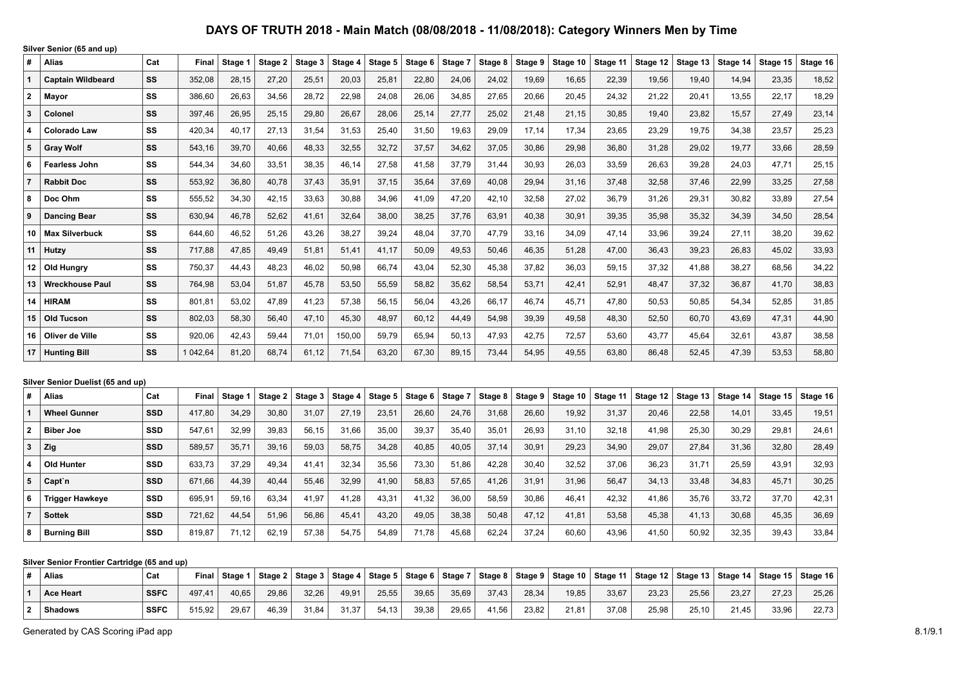**Silver Senior (65 and up)** # Alias Cat Final Stage 1 Stage 2 Stage 3 Stage 4 Stage 5 Stage 6 Stage 7 Stage 8 Stage 9 Stage 10 Stage 11 Stage 12 Stage 13 Stage 14 Stage 15 Stage 16 **Captain Wildbeard SS** 352,08 28,15 27,20 25,51 20,03 25,81 22,80 24,06 24,02 19,69 16,65 22,39 19,56 19,40 14,94 23,35 18,52 **Mayor SS** 386,60 26,63 34,56 28,72 22,98 24,08 26,06 34,85 27,65 20,66 20,45 24,32 21,22 20,41 13,55 22,17 18,29 **Colonel SS** 397,46 26,95 25,15 29,80 26,67 28,06 25,14 27,77 25,02 21,48 21,15 30,85 19,40 23,82 15,57 27,49 23,14 **Colorado Law SS** 420,34 40,17 27,13 31,54 31,53 25,40 31,50 19,63 29,09 17,14 17,34 23,65 23,29 19,75 34,38 23,57 25,23 **Gray Wolf SS** 543,16 39,70 40,66 48,33 32,55 32,72 37,57 34,62 37,05 30,86 29,98 36,80 31,28 29,02 19,77 33,66 28,59 **Fearless John SS** 544,34 34,60 33,51 38,35 46,14 27,58 41,58 37,79 31,44 30,93 26,03 33,59 26,63 39,28 24,03 47,71 25,15 **Rabbit Doc SS** 553,92 36,80 40,78 37,43 35,91 37,15 35,64 37,69 40,08 29,94 31,16 37,48 32,58 37,46 22,99 33,25 27,58 **Doc Ohm SS** 555,52 34,30 42,15 33,63 30,88 34,96 41,09 47,20 42,10 32,58 27,02 36,79 31,26 29,31 30,82 33,89 27,54 **Dancing Bear SS** 630,94 46,78 52,62 41,61 32,64 38,00 38,25 37,76 63,91 40,38 30,91 39,35 35,98 35,32 34,39 34,50 28,54 **Max Silverbuck SS** 644,60 46,52 51,26 43,26 38,27 39,24 48,04 37,70 47,79 33,16 34,09 47,14 33,96 39,24 27,11 38,20 39,62 **Hutzy SS** 717,88 47,85 49,49 51,81 51,41 41,17 50,09 49,53 50,46 46,35 51,28 47,00 36,43 39,23 26,83 45,02 33,93 **Old Hungry SS** 750,37 44,43 48,23 46,02 50,98 66,74 43,04 52,30 45,38 37,82 36,03 59,15 37,32 41,88 38,27 68,56 34,22 **Wreckhouse Paul SS** 764,98 53,04 51,87 45,78 53,50 55,59 58,82 35,62 58,54 53,71 42,41 52,91 48,47 37,32 36,87 41,70 38,83 **HIRAM SS** 801,81 53,02 47,89 41,23 57,38 56,15 56,04 43,26 66,17 46,74 45,71 47,80 50,53 50,85 54,34 52,85 31,85 **Old Tucson SS** 802,03 58,30 56,40 47,10 45,30 48,97 60,12 44,49 54,98 39,39 49,58 48,30 52,50 60,70 43,69 47,31 44,90 **Oliver de Ville SS** 920,06 42,43 59,44 71,01 150,00 59,79 65,94 50,13 47,93 42,75 72,57 53,60 43,77 45,64 32,61 43,87 38,58 **Hunting Bill SS** 1 042,64 81,20 68,74 61,12 71,54 63,20 67,30 89,15 73,44 54,95 49,55 63,80 86,48 52,45 47,39 53,53 58,80

#### **Silver Senior Duelist (65 and up)**

| #              | <b>Alias</b>           | Cat        | Fina   | Stage 1 | Stage 2 | Stage 3 | Stage 4 | Stage 5 | Stage 6 | Stage 7 | Stage 8 | Stage 9 | Stage 10 $ $ | Stage 11 | Stage 12 | Stage 13 | Stage 14 | Stage 15 $ $ | Stage 16 |
|----------------|------------------------|------------|--------|---------|---------|---------|---------|---------|---------|---------|---------|---------|--------------|----------|----------|----------|----------|--------------|----------|
|                | <b>Wheel Gunner</b>    | <b>SSD</b> | 417.80 | 34.29   | 30,80   | 31,07   | 27.19   | 23,51   | 26,60   | 24,76   | 31,68   | 26,60   | 19,92        | 31,37    | 20,46    | 22.58    | 14.01    | 33,45        | 19,51    |
| $\overline{2}$ | <b>Biber Joe</b>       | <b>SSD</b> | 547.61 | 32,99   | 39,83   | 56,15   | 31,66   | 35,00   | 39,37   | 35,40   | 35,01   | 26,93   | 31,10        | 32,18    | 41,98    | 25,30    | 30,29    | 29,81        | 24,61    |
| 3              | Zig                    | <b>SSD</b> | 589,57 | 35,71   | 39,16   | 59,03   | 58,75   | 34,28   | 40,85   | 40,05   | 37.14   | 30,91   | 29,23        | 34,90    | 29,07    | 27.84    | 31,36    | 32,80        | 28,49    |
| 4              | Old Hunter             | <b>SSD</b> | 633.73 | 37,29   | 49,34   | 41,41   | 32.34   | 35,56   | 73,30   | 51,86   | 42.28   | 30,40   | 32,52        | 37,06    | 36,23    | 31.71    | 25,59    | 43,91        | 32,93    |
| 5              | Capt`n                 | <b>SSD</b> | 671,66 | 44,39   | 40.44   | 55,46   | 32,99   | 41,90   | 58,83   | 57,65   | 41,26   | 31.91   | 31,96        | 56,47    | 34,13    | 33,48    | 34,83    | 45,71        | 30,25    |
| 6              | <b>Trigger Hawkeye</b> | <b>SSD</b> | 695.91 | 59,16   | 63.34   | 41.97   | 41.28   | 43,31   | 41,32   | 36,00   | 58,59   | 30,86   | 46,41        | 42,32    | 41,86    | 35,76    | 33,72    | 37,70        | 42,31    |
|                | <b>Sottek</b>          | <b>SSD</b> | 721.62 | 44,54   | 51.96   | 56,86   | 45,41   | 43,20   | 49,05   | 38,38   | 50,48   | 47.12   | 41,81        | 53,58    | 45,38    | 41.13    | 30,68    | 45,35        | 36,69    |
| 8              | <b>Burning Bill</b>    | <b>SSD</b> | 819.87 | 71.12   | 62.19   | 57,38   | 54,75   | 54,89   | 71,78   | 45,68   | 62.24   | 37.24   | 60,60        | 43,96    | 41,50    | 50,92    | 32,35    | 39,43        | 33,84    |

#### **Silver Senior Frontier Cartridge (65 and up)**

| <b>Alias</b>     | Cat         | <b>Final</b> | Stage 1 | Stage 2 | $\vert$ Stage 3 $\vert$ | Stage 4 |       |       |       |       |       | Stage 5   Stage 6   Stage 7   Stage 8   Stage 9   Stage 10   Stage 11   Stage 12   Stage 13   Stage 14   Stage 15   Stage 16 |       |       |       |       |       |       |
|------------------|-------------|--------------|---------|---------|-------------------------|---------|-------|-------|-------|-------|-------|------------------------------------------------------------------------------------------------------------------------------|-------|-------|-------|-------|-------|-------|
| <b>Ace Heart</b> | <b>SSFC</b> | 497.41       | 40.65   | 29.86   | 32.26                   | 49.91   | 25.55 | 39.65 | 35,69 | 37.43 | 28.34 | 19.85                                                                                                                        | 33.67 | 23,23 | 25.56 | 23.27 | 27.23 | 25.26 |
| <b>Shadows</b>   | <b>SSFC</b> | 515,92       | 29,67   | 46,39   | 31,84                   | 31,37   | 54.13 | 39,38 | 29,65 | 41,56 | 23,82 | 21,81                                                                                                                        | 37,08 | 25,98 | 25.10 | 21.45 | 33,96 | 22.73 |